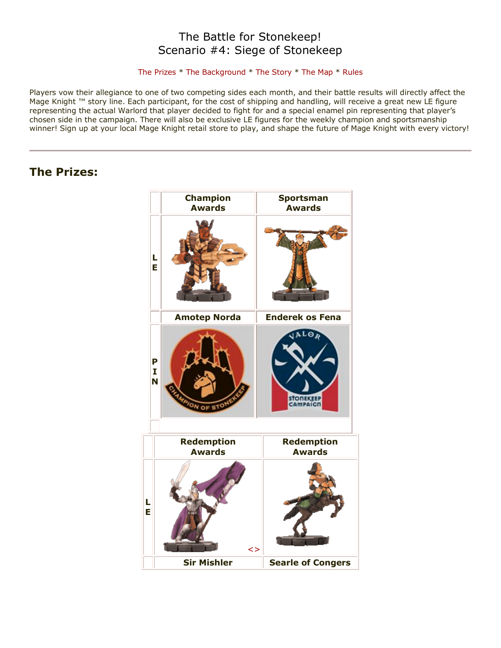# The Battle for Stonekeep! Scenario #4: Siege of Stonekeep

# [The Prizes](http://www.wizkidsgames.com/mageknight/article.asp?cid=37092&frame=Talesfromtheland#prizes#prizes) \* [The Background](http://www.wizkidsgames.com/mageknight/article.asp?cid=37092&frame=Talesfromtheland#background#background) \* [The Story](http://www.wizkidsgames.com/mageknight/article.asp?cid=37092&frame=Talesfromtheland#story#story) \* [The Map](http://www.wizkidsgames.com/mageknight/article.asp?cid=37092&frame=Talesfromtheland#map#map) \* [Rules](http://www.wizkidsgames.com/mageknight/article.asp?cid=37092&frame=Talesfromtheland#week#week)

Players vow their allegiance to one of two competing sides each month, and their battle results will directly affect the Mage Knight ™ story line. Each participant, for the cost of shipping and handling, will receive a great new LE figure representing the actual Warlord that player decided to fight for and a special enamel pin representing that player's chosen side in the campaign. There will also be exclusive LE figures for the weekly champion and sportsmanship winner! Sign up at your local Mage Knight retail store to play, and shape the future of Mage Knight with every victory!

# **The Prizes:**

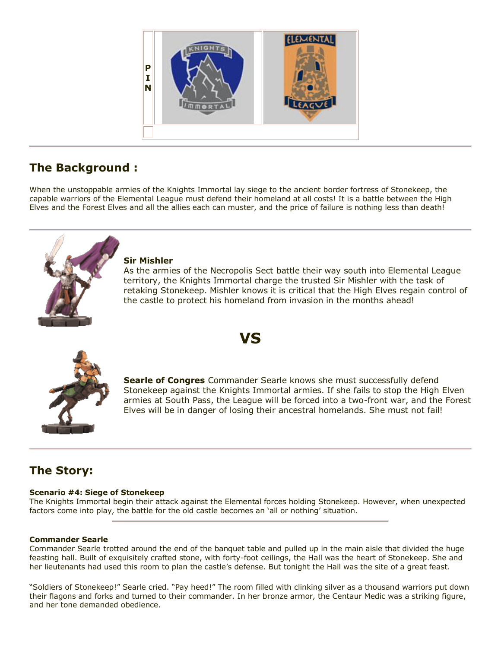

# **The Background :**

When the unstoppable armies of the Knights Immortal lay siege to the ancient border fortress of Stonekeep, the capable warriors of the Elemental League must defend their homeland at all costs! It is a battle between the High Elves and the Forest Elves and all the allies each can muster, and the price of failure is nothing less than death!



## **Sir Mishler**

As the armies of the Necropolis Sect battle their way south into Elemental League territory, the Knights Immortal charge the trusted Sir Mishler with the task of retaking Stonekeep. Mishler knows it is critical that the High Elves regain control of the castle to protect his homeland from invasion in the months ahead!



**Searle of Congres** Commander Searle knows she must successfully defend Stonekeep against the Knights Immortal armies. If she fails to stop the High Elven armies at South Pass, the League will be forced into a two-front war, and the Forest Elves will be in danger of losing their ancestral homelands. She must not fail!

# **The Story:**

## **Scenario #4: Siege of Stonekeep**

The Knights Immortal begin their attack against the Elemental forces holding Stonekeep. However, when unexpected factors come into play, the battle for the old castle becomes an 'all or nothing' situation.

**VS**

## **Commander Searle**

Commander Searle trotted around the end of the banquet table and pulled up in the main aisle that divided the huge feasting hall. Built of exquisitely crafted stone, with forty-foot ceilings, the Hall was the heart of Stonekeep. She and her lieutenants had used this room to plan the castle's defense. But tonight the Hall was the site of a great feast.

"Soldiers of Stonekeep!" Searle cried. "Pay heed!" The room filled with clinking silver as a thousand warriors put down their flagons and forks and turned to their commander. In her bronze armor, the Centaur Medic was a striking figure, and her tone demanded obedience.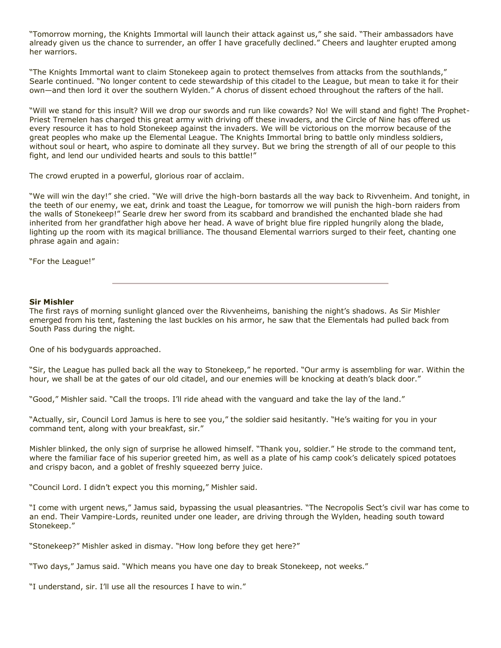"Tomorrow morning, the Knights Immortal will launch their attack against us," she said. "Their ambassadors have already given us the chance to surrender, an offer I have gracefully declined." Cheers and laughter erupted among her warriors.

"The Knights Immortal want to claim Stonekeep again to protect themselves from attacks from the southlands," Searle continued. "No longer content to cede stewardship of this citadel to the League, but mean to take it for their own—and then lord it over the southern Wylden." A chorus of dissent echoed throughout the rafters of the hall.

"Will we stand for this insult? Will we drop our swords and run like cowards? No! We will stand and fight! The Prophet-Priest Tremelen has charged this great army with driving off these invaders, and the Circle of Nine has offered us every resource it has to hold Stonekeep against the invaders. We will be victorious on the morrow because of the great peoples who make up the Elemental League. The Knights Immortal bring to battle only mindless soldiers, without soul or heart, who aspire to dominate all they survey. But we bring the strength of all of our people to this fight, and lend our undivided hearts and souls to this battle!"

The crowd erupted in a powerful, glorious roar of acclaim.

"We will win the day!" she cried. "We will drive the high-born bastards all the way back to Rivvenheim. And tonight, in the teeth of our enemy, we eat, drink and toast the League, for tomorrow we will punish the high-born raiders from the walls of Stonekeep!" Searle drew her sword from its scabbard and brandished the enchanted blade she had inherited from her grandfather high above her head. A wave of bright blue fire rippled hungrily along the blade, lighting up the room with its magical brilliance. The thousand Elemental warriors surged to their feet, chanting one phrase again and again:

"For the League!"

#### **Sir Mishler**

The first rays of morning sunlight glanced over the Rivvenheims, banishing the night's shadows. As Sir Mishler emerged from his tent, fastening the last buckles on his armor, he saw that the Elementals had pulled back from South Pass during the night.

One of his bodyguards approached.

"Sir, the League has pulled back all the way to Stonekeep," he reported. "Our army is assembling for war. Within the hour, we shall be at the gates of our old citadel, and our enemies will be knocking at death's black door."

"Good," Mishler said. "Call the troops. I'll ride ahead with the vanguard and take the lay of the land."

"Actually, sir, Council Lord Jamus is here to see you," the soldier said hesitantly. "He's waiting for you in your command tent, along with your breakfast, sir."

Mishler blinked, the only sign of surprise he allowed himself. "Thank you, soldier." He strode to the command tent, where the familiar face of his superior greeted him, as well as a plate of his camp cook's delicately spiced potatoes and crispy bacon, and a goblet of freshly squeezed berry juice.

"Council Lord. I didn't expect you this morning," Mishler said.

"I come with urgent news," Jamus said, bypassing the usual pleasantries. "The Necropolis Sect's civil war has come to an end. Their Vampire-Lords, reunited under one leader, are driving through the Wylden, heading south toward Stonekeep."

"Stonekeep?" Mishler asked in dismay. "How long before they get here?"

"Two days," Jamus said. "Which means you have one day to break Stonekeep, not weeks."

"I understand, sir. I'll use all the resources I have to win."